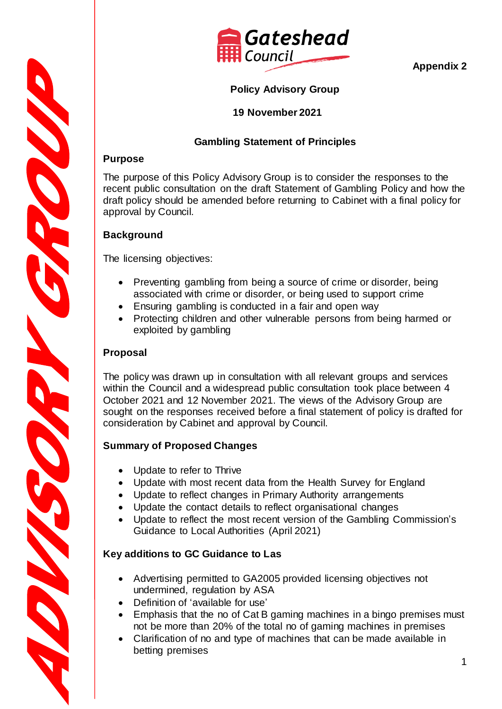

**Appendix 2**

## **Policy Advisory Group**

## **19 November 2021**

### **Gambling Statement of Principles**

#### **Purpose**

**CONSTRUCT** 

**CONSCRIPTION** 

The purpose of this Policy Advisory Group is to consider the responses to the recent public consultation on the draft Statement of Gambling Policy and how the draft policy should be amended before returning to Cabinet with a final policy for approval by Council.

### **Background**

The licensing objectives:

- Preventing gambling from being a source of crime or disorder, being associated with crime or disorder, or being used to support crime
- Ensuring gambling is conducted in a fair and open way
- Protecting children and other vulnerable persons from being harmed or exploited by gambling

### **Proposal**

The policy was drawn up in consultation with all relevant groups and services within the Council and a widespread public consultation took place between 4 October 2021 and 12 November 2021. The views of the Advisory Group are sought on the responses received before a final statement of policy is drafted for consideration by Cabinet and approval by Council.

# **Summary of Proposed Changes**

- Update to refer to Thrive
- Update with most recent data from the Health Survey for England
- Update to reflect changes in Primary Authority arrangements
- Update the contact details to reflect organisational changes
- Update to reflect the most recent version of the Gambling Commission's Guidance to Local Authorities (April 2021)

# **Key additions to GC Guidance to Las**

- Advertising permitted to GA2005 provided licensing objectives not undermined, regulation by ASA
- Definition of 'available for use'
- Emphasis that the no of Cat B gaming machines in a bingo premises must not be more than 20% of the total no of gaming machines in premises
- Clarification of no and type of machines that can be made available in betting premises